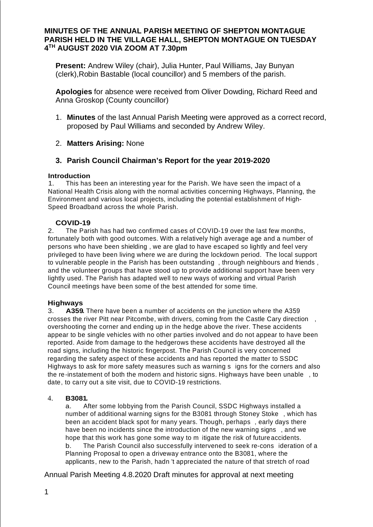# **MINUTES OF THE ANNUAL PARISH MEETING OF SHEPTON MONTAGUE PARISH HELD IN THE VILLAGE HALL, SHEPTON MONTAGUE ON TUESDAY 4 TH AUGUST 2020 VIA ZOOM AT 7.30pm**

**Present:** Andrew Wiley (chair), Julia Hunter, Paul Williams, Jay Bunyan (clerk),Robin Bastable (local councillor) and 5 members of the parish.

**Apologies** for absence were received from Oliver Dowding, Richard Reed and Anna Groskop (County councillor)

1. **Minutes** of the last Annual Parish Meeting were approved as a correct record, proposed by Paul Williams and seconded by Andrew Wiley.

# 2. **Matters Arising:** None

# **3. Parish Council Chairman's Report for the year 2019-2020**

#### **Introduction**

1. This has been an interesting year for the Parish. We have seen the impact of a National Health Crisis along with the normal activities concerning Highways, Planning, the Environment and various local projects, including the potential establishment of High-Speed Broadband across the whole Parish.

### **COVID-19**

2. The Parish has had two confirmed cases of COVID-19 over the last few months, fortunately both with good outcomes. With a relatively high average age and a number of persons who have been shielding , we are glad to have escaped so lightly and feel very privileged to have been living where we are during the lockdown period. The local support to vulnerable people in the Parish has been outstanding , through neighbours and friends , and the volunteer groups that have stood up to provide additional support have been very lightly used. The Parish has adapted well to new ways of working and virtual Parish Council meetings have been some of the best attended for some time.

### **Highways**

3. **A359.** There have been a number of accidents on the junction where the A359 crosses the river Pitt near Pitcombe, with drivers, coming from the Castle Cary direction , overshooting the corner and ending up in the hedge above the river. These accidents appear to be single vehicles with no other parties involved and do not appear to have been reported. Aside from damage to the hedgerows these accidents have destroyed all the road signs, including the historic fingerpost. The Parish Council is very concerned regarding the safety aspect of these accidents and has reported the matter to SSDC Highways to ask for more safety measures such as warning s igns for the corners and also the re-instatement of both the modern and historic signs. Highways have been unable , to date, to carry out a site visit, due to COVID-19 restrictions.

### 4. **B3081.**

a. After some lobbying from the Parish Council, SSDC Highways installed a number of additional warning signs for the B3081 through Stoney Stoke , which has been an accident black spot for many years. Though, perhaps , early days there have been no incidents since the introduction of the new warning signs , and we hope that this work has gone some way to m itigate the risk of future accidents. b. The Parish Council also successfully intervened to seek re-cons ideration of a Planning Proposal to open a driveway entrance onto the B3081, where the

applicants, new to the Parish, hadn 't appreciated the nature of that stretch of road

Annual Parish Meeting 4.8.2020 Draft minutes for approval at next meeting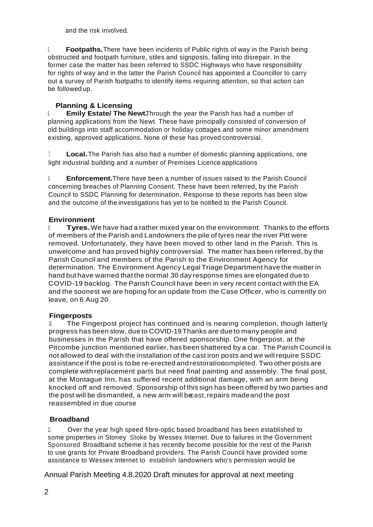and the risk involved.

5. **Footpaths.**There have been incidents of Public rights of way in the Parish being obstructed and footpath furniture, stiles and signposts, falling into disrepair. In the former case the matter has been referred to SSDC Highways who have responsibility for rights of way and in the latter the Parish Council has appointed a Councillor to carry out a survey of Parish footpaths to identify items requiring attention, so that action can be followed up.

# **Planning & Licensing**

6. **Emily Estate/ The Newt.**Through the year the Parish has had a number of planning applications from the Newt. These have principally consisted of conversion of old buildings into staff accommodation or holiday cottages and some minor amendment existing, approved applications. None of these has proved controversial.

**Local.** The Parish has also had a number of domestic planning applications, one light industrial building and a number of Premises Licence applications

8. **Enforcement.**There have been a number of issues raised to the Parish Council concerning breaches of Planning Consent. These have been referred, by the Parish Council to SSDC Planning for determination. Response to these reports has been slow and the outcome of the investigations has yet to be notified to the Parish Council.

### **Environment**

9. **Tyres.**We have had a rather mixed year on the environment. Thanks to the efforts of members of the Parish and Landowners the pile of tyres near the river Pitt were removed. Unfortunately, they have been moved to other land in the Parish. This is unwelcome and has proved highly controversial. The matter has been referred, by the Parish Council and members of the Parish to the Environment Agency for determination. The Environment Agency Legal Triage Department have the matter in hand but have warned that the normal 30 day response times are elongated due to COVID-19 backlog. The Parish Council have been in very recent contact with the EA and the soonest we are hoping for an update from the Case Officer, who is currently on leave, on 6 Aug 20.

# **Fingerposts**

The Fingerpost project has continued and is nearing completion, though latterly progress has been slow, due to COVID-19 Thanks are due to many people and businesses in the Parish that have offered sponsorship. One fingerpost, at the Pitcombe junction mentioned earlier, has been shattered by a car. The Parish Council is not allowed to deal with the installation of the cast iron posts and we will require SSDC assistance if the post is to be re-erected and restorationcompleted. Two other posts are complete with replacement parts but need final painting and assembly. The final post, at the Montague Inn, has suffered recent additional damage, with an arm being knocked off and removed. Sponsorship of this sign has been offered by two parties and the post will be dismantled, a new arm will becast,repairs madeand the post reassembled in due course.

# **Broadband**

11. Over the year high speed fibre-optic based broadband has been established to some properties in Stoney Stoke by Wessex Internet. Due to failures in the Government Sponsored Broadband scheme it has recently become possible for the rest of the Parish to use grants for Private Broadband providers. The Parish Council have provided some assistance to Wessex Internet to establish landowners who's permission would be

Annual Parish Meeting 4.8.2020 Draft minutes for approval at next meeting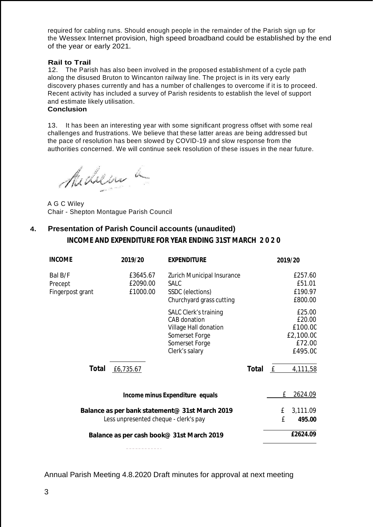required for cabling runs. Should enough people in the remainder of the Parish sign up for the Wessex Internet provision, high speed broadband could be established by the end of the year or early 2021.

### **Rail to Trail**

12. The Parish has also been involved in the proposed establishment of a cycle path along the disused Bruton to Wincanton railway line. The project is in its very early discovery phases currently and has a number of challenges to overcome if it is to proceed. Recent activity has included a survey of Parish residents to establish the level of support and estimate likely utilisation.

### **Conclusion**

13. It has been an interesting year with some significant progress offset with some real challenges and frustrations. We believe that these latter areas are being addressed but the pace of resolution has been slowed by COVID-19 and slow response from the authorities concerned. We will continue seek resolution of these issues in the near future.

Midsin a

A G C Wiley Chair - Shepton Montague Parish Council

# **4. Presentation of Parish Council accounts (unaudited)**

**INCOME AND EXPENDITURE FOR YEAR ENDING 31ST MARCH 2 0 2 0**

| <b>INCOME</b>                                                                           | 2019/20                          | <b>EXPENDITURE</b>                                                                                                                 |       | 2019/20                                                       |
|-----------------------------------------------------------------------------------------|----------------------------------|------------------------------------------------------------------------------------------------------------------------------------|-------|---------------------------------------------------------------|
| Bal B/F<br>Precept<br>Fingerpost grant                                                  | £3645.67<br>£2090.00<br>£1000.00 | <b>Zurich Municipal Insurance</b><br><b>SALC</b><br>SSDC (elections)<br>Churchyard grass cutting                                   |       | £257.60<br>£51.01<br>£190.97<br>£800.00                       |
|                                                                                         |                                  | <b>SALC Clerk's training</b><br><b>CAB</b> donation<br>Village Hall donation<br>Somerset Forge<br>Somerset Forge<br>Clerk's salary |       | £25.00<br>£20.00<br>£100.00<br>£2,100.00<br>£72.00<br>£495.00 |
| Total                                                                                   | £6,735.67                        |                                                                                                                                    | Total | E<br>4,111,58                                                 |
|                                                                                         |                                  | Income minus Expenditure equals                                                                                                    |       | 2624.09<br>£                                                  |
| Balance as per bank statement@ 31st March 2019<br>Less unpresented cheque - clerk's pay |                                  |                                                                                                                                    |       | 3,111.09<br>£<br>£<br>495.00                                  |
| Balance as per cash book@ 31st March 2019                                               |                                  |                                                                                                                                    |       | £2624.09                                                      |
|                                                                                         |                                  |                                                                                                                                    |       |                                                               |

Annual Parish Meeting 4.8.2020 Draft minutes for approval at next meeting